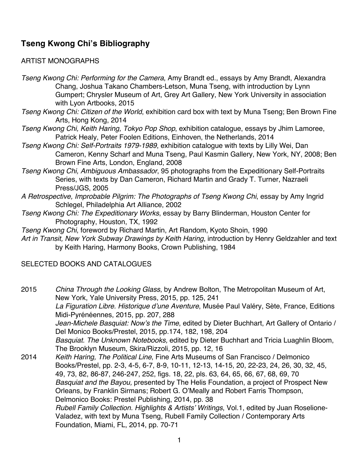## **Tseng Kwong Chi's Bibliography**

## ARTIST MONOGRAPHS

*Tseng Kwong Chi: Performing for the Camera*, Amy Brandt ed., essays by Amy Brandt, Alexandra Chang, Joshua Takano Chambers-Letson, Muna Tseng, with introduction by Lynn Gumpert; Chrysler Museum of Art, Grey Art Gallery, New York University in association with Lyon Artbooks, 2015

- *Tseng Kwong Chi: Citizen of the World*, exhibition card box with text by Muna Tseng; Ben Brown Fine Arts, Hong Kong, 2014
- *Tseng Kwong Chi, Keith Haring, Tokyo Pop Shop*, exhibition catalogue, essays by Jhim Lamoree, Patrick Healy, Peter Foolen Editions, Einhoven, the Netherlands, 2014
- *Tseng Kwong Chi: Self-Portraits 1979-1989*, exhibition catalogue with texts by Lilly Wei, Dan Cameron, Kenny Scharf and Muna Tseng, Paul Kasmin Gallery, New York, NY, 2008; Ben Brown Fine Arts, London, England, 2008
- *Tseng Kwong Chi, Ambiguous Ambassador*, 95 photographs from the Expeditionary Self-Portraits Series, with texts by Dan Cameron, Richard Martin and Grady T. Turner, Nazraeli Press/JGS, 2005
- *A Retrospective, Improbable Pilgrim: The Photographs of Tseng Kwong Chi*, essay by Amy Ingrid Schlegel, Philadelphia Art Alliance, 2002
- *Tseng Kwong Chi: The Expeditionary Works*, essay by Barry Blinderman, Houston Center for Photography, Houston, TX, 1992
- *Tseng Kwong Chi*, foreword by Richard Martin, Art Random, Kyoto Shoin, 1990
- *Art in Transit, New York Subway Drawings by Keith Haring*, introduction by Henry Geldzahler and text by Keith Haring, Harmony Books, Crown Publishing, 1984

## SELECTED BOOKS AND CATALOGUES

2015 *China Through the Looking Glass*, by Andrew Bolton, The Metropolitan Museum of Art, New York, Yale University Press, 2015, pp. 125, 241 *La Figuration Libre. Historique d'une Aventure*, Musée Paul Valéry, Sète, France, Editions Midi-Pyrénéennes, 2015, pp. 207, 288 *Jean-Michele Basquiat: Now's the Time*, edited by Dieter Buchhart, Art Gallery of Ontario / Del Monico Books/Prestel, 2015, pp.174, 182, 198, 204 *Basquiat. The Unknown Notebooks,* edited by Dieter Buchhart and Tricia Luaghlin Bloom, The Brooklyn Museum, Skira/Rizzoli, 2015, pp. 12, 16 2014 *Keith Haring, The Political Line*, Fine Arts Museums of San Francisco / Delmonico Books/Prestel, pp. 2-3, 4-5, 6-7, 8-9, 10-11, 12-13, 14-15, 20, 22-23, 24, 26, 30, 32, 45, 49, 73, 82, 86-87, 246-247, 252, figs. 18, 22, pls. 63, 64, 65, 66, 67, 68, 69, 70 *Basquiat and the Bayou,* presented by The Helis Foundation, a project of Prospect New Orleans, by Franklin Sirmans; Robert G. O'Meally and Robert Farris Thompson, Delmonico Books: Prestel Publishing, 2014, pp. 38 *Rubell Family Collection. Highlights & Artists' Writings*, Vol.1, edited by Juan Roselione-

Valadez, with text by Muna Tseng, Rubell Family Collection / Contemporary Arts Foundation, Miami, FL, 2014, pp. 70-71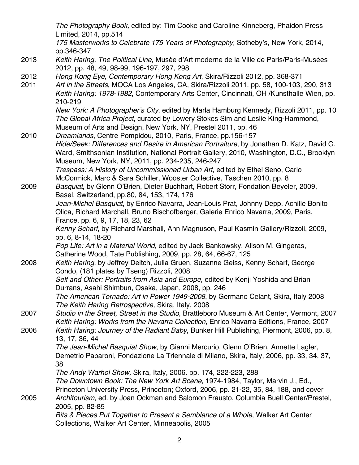*The Photography Book,* edited by: Tim Cooke and Caroline Kinneberg, Phaidon Press Limited, 2014, pp.514

*175 Masterworks to Celebrate 175 Years of Photography,* Sotheby's, New York, 2014, pp.346-347

- 2013 *Keith Haring, The Political Line*, Musée d'Art moderne de la Ville de Paris/Paris-Musées 2012, pp. 48, 49, 98-99, 196-197, 297, 298
- 2012 *Hong Kong Eye, Contemporary Hong Kong Art*, Skira/Rizzoli 2012, pp. 368-371
- 2011 *Art in the Streets*, MOCA Los Angeles, CA, Skira/Rizzoli 2011, pp. 58, 100-103, 290, 313 *Keith Haring: 1978-1982*, Contemporary Arts Center, Cincinnati, OH /Kunsthalle Wien, pp. 210-219

*New York: A Photographer's City*, edited by Marla Hamburg Kennedy, Rizzoli 2011, pp. 10 *The Global Africa Project*, curated by Lowery Stokes Sim and Leslie King-Hammond, Museum of Arts and Design, New York, NY, Prestel 2011, pp. 46

2010 *Dreamlands*, Centre Pompidou, 2010, Paris, France, pp.156-157 *Hide/Seek: Differences and Desire in American Portraiture*, by Jonathan D. Katz, David C. Ward, Smithsonian Institution, National Portrait Gallery, 2010, Washington, D.C., Brooklyn Museum, New York, NY, 2011, pp. 234-235, 246-247

*Trespass: A History of Uncommissioned Urban Art*, edited by Ethel Seno, Carlo McCormick, Marc & Sara Schiller, Wooster Collective, Taschen 2010, pp. 8

2009 *Basquiat*, by Glenn O'Brien, Dieter Buchhart, Robert Storr, Fondation Beyeler, 2009, Basel, Switzerland, pp.80, 84, 153, 174, 176

*Jean-Michel Basquiat*, by Enrico Navarra, Jean-Louis Prat, Johnny Depp, Achille Bonito Olica, Richard Marchall, Bruno Bischofberger, Galerie Enrico Navarra, 2009, Paris, France, pp. 6, 9, 17, 18, 23, 62

*Kenny Scharf*, by Richard Marshall, Ann Magnuson, Paul Kasmin Gallery/Rizzoli, 2009, pp. 6, 8-14, 18-20

*Pop Life: Art in a Material World*, edited by Jack Bankowsky, Alison M. Gingeras, Catherine Wood, Tate Publishing, 2009, pp. 28, 64, 66-67, 125

2008 *Keith Haring*, by Jeffrey Deitch, Julia Gruen, Suzanne Geiss, Kenny Scharf, George Condo, (181 plates by Tseng) Rizzoli, 2008 *Self and Other: Portraits from Asia and Europe*, edited by Kenji Yoshida and Brian

Durrans, Asahi Shimbun, Osaka, Japan, 2008, pp. 246 *The American Tornado: Art in Power 1949-2008*, by Germano Celant, Skira, Italy 2008 *The Keith Haring Retrospective,* Skira, Italy, 2008

2007 *Studio in the Street, Street in the Studio*, Brattleboro Museum & Art Center, Vermont, 2007 *Keith Haring: Works from the Navarra Collection*, Enrico Navarra Editions, France, 2007 2006 *Keith Haring: Journey of the Radiant Baby*, Bunker Hill Publishing, Piermont, 2006, pp. 8,

13, 17, 36, 44 *The Jean-Michel Basquiat Show*, by Gianni Mercurio, Glenn O'Brien, Annette Lagler,

Demetrio Paparoni, Fondazione La Triennale di Milano, Skira, Italy, 2006, pp. 33, 34, 37, 38

*The Andy Warhol Show,* Skira, Italy, 2006. pp. 174, 222-223, 288 *The Downtown Book: The New York Art Scene*, 1974-1984, Taylor, Marvin J., Ed., Princeton University Press, Princeton; Oxford, 2006, pp. 21-22, 35, 84, 188, and cover 2005 *Architourism*, ed. by Joan Ockman and Salomon Frausto, Columbia Buell Center/Prestel, 2005, pp. 82-85

> *Bits & Pieces Put Together to Present a Semblance of a Whole*, Walker Art Center Collections, Walker Art Center, Minneapolis, 2005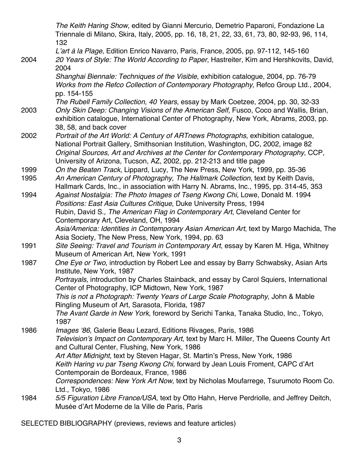*The Keith Haring Show*, edited by Gianni Mercurio, Demetrio Paparoni, Fondazione La Triennale di Milano, Skira, Italy, 2005, pp. 16, 18, 21, 22, 33, 61, 73, 80, 92-93, 96, 114, 132

*L'art à la Plage,* Edition Enrico Navarro, Paris, France, 2005, pp. 97-112, 145-160 2004 *20 Years of Style: The World According to Paper*, Hastreiter, Kim and Hershkovits, David,

2004 *Shanghai Biennale: Techniques of the Visible*, exhibition catalogue, 2004, pp. 76-79 *Works from the Refco Collection of Contemporary Photography*, Refco Group Ltd., 2004, pp. 154-155

*The Rubell Family Collection, 40 Years*, essay by Mark Coetzee, 2004, pp. 30, 32-33 2003 *Only Skin Deep: Changing Visions of the American Self*, Fusco, Coco and Wallis, Brian,

- exhibition catalogue, International Center of Photography, New York, Abrams, 2003, pp. 38, 58, and back cover
- 2002 *Portrait of the Art World: A Century of ARTnews Photographs*, exhibition catalogue, National Portrait Gallery, Smithsonian Institution, Washington, DC, 2002, image 82 *Original Sources, Art and Archives at the Center for Contemporary Photography*, CCP, University of Arizona, Tucson, AZ, 2002, pp. 212-213 and title page
- 1999 *On the Beaten Track*, Lippard, Lucy, The New Press, New York, 1999, pp. 35-36
- 1995 *An American Century of Photography, The Hallmark Collection*, text by Keith Davis, Hallmark Cards, Inc., in association with Harry N. Abrams, Inc., 1995, pp. 314-45, 353
- 1994 *Against Nostalgia: The Photo Images of Tseng Kwong Chi*, Lowe, Donald M. 1994 *Positions: East Asia Cultures Critique*, Duke University Press, 1994 Rubin, David S., *The American Flag in Contemporary Art*, Cleveland Center for Contemporary Art, Cleveland, OH, 1994 *Asia/America: Identities in Contemporary Asian American Art*, text by Margo Machida, The

Asia Society, The New Press, New York, 1994, pp. 63

- 1991 *Site Seeing: Travel and Tourism in Contemporary Art*, essay by Karen M. Higa, Whitney Museum of American Art, New York, 1991
- 1987 *One Eye or Two*, introduction by Robert Lee and essay by Barry Schwabsky, Asian Arts Institute, New York, 1987

*Portrayals*, introduction by Charles Stainback, and essay by Carol Squiers, International Center of Photography, ICP Midtown, New York, 1987

*This is not a Photograph: Twenty Years of Large Scale Photography*, John & Mable Ringling Museum of Art, Sarasota, Florida, 1987

*The Avant Garde in New York*, foreword by Serichi Tanka, Tanaka Studio, Inc., Tokyo, 1987

1986 *Images '86*, Galerie Beau Lezard, Editions Rivages, Paris, 1986 *Television's Impact on Contemporary Art*, text by Marc H. Miller, The Queens County Art and Cultural Center, Flushing, New York, 1986 *Art After Midnight*, text by Steven Hagar, St. Martin's Press, New York, 1986 *Keith Haring vu par Tseng Kwong Chi,* forward by Jean Louis Froment, CAPC d'Art Contemporain de Bordeaux, France, 1986 *Correspondences: New York Art Now*, text by Nicholas Moufarrege, Tsurumoto Room Co.

Ltd., Tokyo, 1986 1984 *5/5 Figuration Libre France/USA*, text by Otto Hahn, Herve Perdriolle, and Jeffrey Deitch, Musée d'Art Moderne de la Ville de Paris, Paris

SELECTED BIBLIOGRAPHY (previews, reviews and feature articles)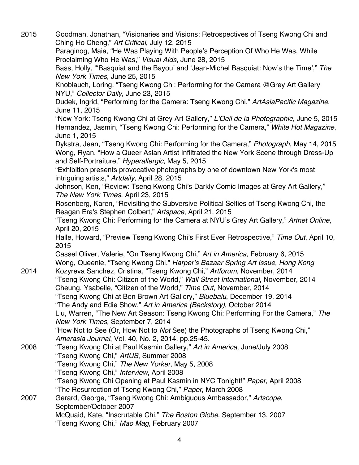2015 Goodman, Jonathan, "Visionaries and Visions: Retrospectives of Tseng Kwong Chi and Ching Ho Cheng," *Art Critical*, July 12, 2015 Paraginog, Maia, "He Was Playing With People's Perception Of Who He Was, While Proclaiming Who He Was," *Visual Aids*, June 28, 2015 Bass, Holly, "'Basquiat and the Bayou' and 'Jean-Michel Basquiat: Now's the Time'," *The New York Times*, June 25, 2015 Knoblauch, Loring, "Tseng Kwong Chi: Performing for the Camera @Grey Art Gallery NYU," *Collector Daily*, June 23, 2015 Dudek, Ingrid, "Performing for the Camera: Tseng Kwong Chi," *ArtAsiaPacific Magazine*, June 11, 2015 "New York: Tseng Kwong Chi at Grey Art Gallery," *L'Oeil de la Photographie*, June 5, 2015 Hernandez, Jasmin, "Tseng Kwong Chi: Performing for the Camera," *White Hot Magazine*, June 1, 2015 Dykstra, Jean, "Tseng Kwong Chi: Performing for the Camera," *Photograph*, May 14, 2015 Wong, Ryan, "How a Queer Asian Artist Infiltrated the New York Scene through Dress-Up and Self-Portraiture," *Hyperallergic*, May 5, 2015 "Exhibition presents provocative photographs by one of downtown New York's most intriguing artists," *Artdaily*, April 28, 2015 Johnson, Ken, "Review: Tseng Kwong Chi's Darkly Comic Images at Grey Art Gallery," *The New York Times*, April 23, 2015 Rosenberg, Karen, "Revisiting the Subversive Political Selfies of Tseng Kwong Chi, the Reagan Era's Stephen Colbert," *Artspace*, April 21, 2015 "Tseng Kwong Chi: Performing for the Camera at NYU's Grey Art Gallery," *Artnet Online*, April 20, 2015 Halle, Howard, "Preview Tseng Kwong Chi's First Ever Retrospective," *Time Out*, April 10, 2015 Cassel Oliver, Valerie, "On Tseng Kwong Chi," *Art in America*, February 6, 2015 Wong, Queenie, "Tseng Kwong Chi," *Harper's Bazaar Spring Art Issue, Hong Kong* 2014 Kozyreva Sanchez, Cristina, "Tseng Kwong Chi," *Artforum*, November, 2014 "Tseng Kwong Chi: Citizen of the World," *Wall Street International*, November, 2014 Cheung, Ysabelle, "Citizen of the World," *Time Out*, November, 2014 "Tseng Kwong Chi at Ben Brown Art Gallery," *Bluebalu*, December 19, 2014 "The Andy and Edie Show," *Art in America (Backstory)*, October 2014 Liu, Warren, "The New Art Season: Tseng Kwong Chi: Performing For the Camera," *The New York Times,* September 7, 2014 "How Not to See (Or, How Not to *Not* See) the Photographs of Tseng Kwong Chi," *Amerasia Journal*, Vol. 40, No. 2, 2014, pp.25-45. 2008 "Tseng Kwong Chi at Paul Kasmin Gallery," *Art in America*, June/July 2008 "Tseng Kwong Chi," *ArtUS*, Summer 2008 "Tseng Kwong Chi," *The New Yorker*, May 5, 2008 "Tseng Kwong Chi," *Interview*, April 2008 "Tseng Kwong Chi Opening at Paul Kasmin in NYC Tonight!" *Paper*, April 2008 "The Resurrection of Tseng Kwong Chi," *Paper*, March 2008 2007 Gerard, George, "Tseng Kwong Chi: Ambiguous Ambassador," *Artscope*, September/October 2007 McQuaid, Kate, "Inscrutable Chi," *The Boston Globe,* September 13, 2007 "Tseng Kwong Chi," *Mao Mag*, February 2007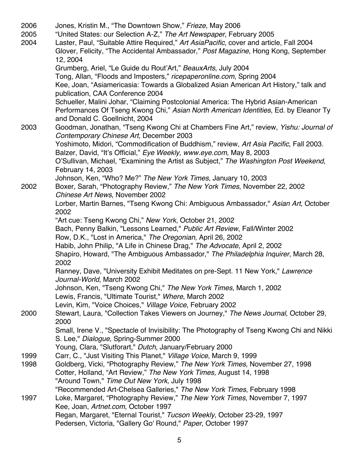2006 Jones, Kristin M., "The Downtown Show," *Frieze*, May 2006 2005 "United States: our Selection A-Z," *The Art Newspaper*, February 2005 2004 Laster, Paul, "Suitable Attire Required," *Art AsiaPacific*, cover and article, Fall 2004 Glover, Felicity, "The Accidental Ambassador," *Post Magazine*, Hong Kong, September 12, 2004 Grumberg, Ariel, "Le Guide du Rout'Art," *BeauxArts*, July 2004 Tong, Allan, "Floods and Imposters," *ricepaperonline.com*, Spring 2004 Kee, Joan, "Asiamericasia: Towards a Globalized Asian American Art History," talk and publication, CAA Conference 2004 Schueller, Malini Johar, "Claiming Postcolonial America: The Hybrid Asian-American Performances Of Tseng Kwong Chi," *Asian North American Identities*, Ed. by Eleanor Ty and Donald C. Goellnicht, 2004 2003 Goodman, Jonathan, "Tseng Kwong Chi at Chambers Fine Art," review, *Yishu: Journal of Contemporary Chinese Art*, December 2003 Yoshimoto, Midori, "Commodification of Buddhism," review, *Art Asia Pacific*, Fall 2003. Balzer, David, "It's Official," *Eye Weekly, www.eye.com*, May 8, 2003 O'Sullivan, Michael, "Examining the Artist as Subject," *The Washington Post Weekend*, February 14, 2003 Johnson, Ken, "Who? Me?" *The New York Times*, January 10, 2003 2002 Boxer, Sarah, "Photography Review," *The New York Times*, November 22, 2002 *Chinese Art News*, November 2002 Lorber, Martin Barnes, "Tseng Kwong Chi: Ambiguous Ambassador," *Asian Art*, October 2002 "Art cue: Tseng Kwong Chi," *New York*, October 21, 2002 Bach, Penny Balkin, "Lessons Learned," *Public Art Review*, Fall/Winter 2002 Row, D.K., "Lost in America," *The Oregonian*, April 26, 2002 Habib, John Philip, "A Life in Chinese Drag," *The Advocate*, April 2, 2002 Shapiro, Howard, "The Ambiguous Ambassador," *The Philadelphia Inquirer*, March 28, 2002 Ranney, Dave, "University Exhibit Meditates on pre-Sept. 11 New York," *Lawrence Journal-World*, March 2002 Johnson, Ken, "Tseng Kwong Chi," *The New York Times*, March 1, 2002 Lewis, Francis, "Ultimate Tourist," *Where*, March 2002 Levin, Kim, "Voice Choices," *Village Voice*, February 2002 2000 Stewart, Laura, "Collection Takes Viewers on Journey," *The News Journal*, October 29, 2000 Small, Irene V., "Spectacle of Invisibility: The Photography of Tseng Kwong Chi and Nikki S. Lee," *Dialogue*, Spring-Summer 2000 Young, Clara, "Slutforart," *Dutch*, January/February 2000 1999 Carr, C., "Just Visiting This Planet," *Village Voice*, March 9, 1999 1998 Goldberg, Vicki, "Photography Review," *The New York Times*, November 27, 1998 Cotter, Holland, "Art Review," *The New York Times*, August 14, 1998 "Around Town," *Time Out New York*, July 1998 "Recommended Art-Chelsea Galleries," *The New York Times*, February 1998 1997 Loke, Margaret, "Photography Review," *The New York Times*, November 7, 1997 Kee, Joan, *Artnet.com*, October 1997 Regan, Margaret, "Eternal Tourist," *Tucson Weekly*, October 23-29, 1997 Pedersen, Victoria, "Gallery Go' Round," *Paper*, October 1997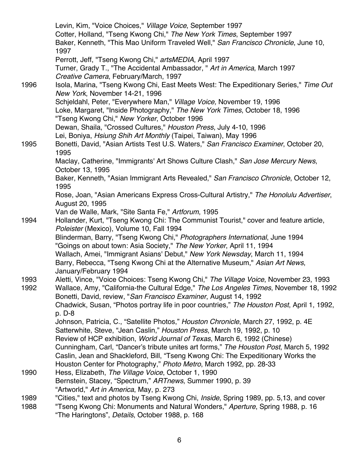Levin, Kim, "Voice Choices," *Village Voice*, September 1997 Cotter, Holland, "Tseng Kwong Chi," *The New York Times*, September 1997 Baker, Kenneth, "This Mao Uniform Traveled Well," *San Francisco Chronicle*, June 10, 1997 Perrott, Jeff, "Tseng Kwong Chi," *artsMEDIA*, April 1997 Turner, Grady T., "The Accidental Ambassador, " *Art in America*, March 1997 *Creative Camera*, February/March, 1997 1996 Isola, Marina, "Tseng Kwong Chi, East Meets West: The Expeditionary Series," *Time Out New York*, November 14-21, 1996 Schjeldahl, Peter, "Everywhere Man," *Village Voice,* November 19, 1996 Loke, Margaret, "Inside Photography," *The New York Times*, October 18, 1996 "Tseng Kwong Chi," *New Yorker*, October 1996 Dewan, Shaila, "Crossed Cultures," *Houston Press*, July 4-10, 1996 Lei, Boniya, *Hsiung Shih Art Monthly* (Taipei, Taiwan), May 1996 1995 Bonetti, David, "Asian Artists Test U.S. Waters," *San Francisco Examiner*, October 20, 1995 Maclay, Catherine, "Immigrants' Art Shows Culture Clash," *San Jose Mercury News*, October 13, 1995 Baker, Kenneth, "Asian Immigrant Arts Revealed," *San Francisco Chronicle*, October 12, 1995 Rose, Joan, "Asian Americans Express Cross-Cultural Artistry," *The Honolulu Advertiser*, August 20, 1995 Van de Walle, Mark, "Site Santa Fe," *Artforum*, 1995 1994 Hollander, Kurt, "Tseng Kwong Chi: The Communist Tourist," cover and feature article, *Poleister* (Mexico), Volume 10, Fall 1994 Blinderman, Barry, "Tseng Kwong Chi," *Photographers International*, June 1994 "Goings on about town: Asia Society," *The New Yorker*, April 11, 1994 Wallach, Amei, "Immigrant Asians' Debut," *New York Newsday*, March 11, 1994 Barry, Rebecca, "Tseng Kwong Chi at the Alternative Museum," *Asian Art News*, January/February 1994 1993 Aletti, Vince, "Voice Choices: Tseng Kwong Chi," *The Village Voice*, November 23, 1993 1992 Wallace, Amy, "California-the Cultural Edge," *The Los Angeles Times*, November 18, 1992 Bonetti, David, review, "*San Francisco Examiner*, August 14, 1992 Chadwick, Susan, "Photos portray life in poor countries," *The Houston Post*, April 1, 1992, p. D-8 Johnson, Patricia, C., "Satellite Photos," *Houston Chronicle*, March 27, 1992, p. 4E Satterwhite, Steve, "Jean Caslin," *Houston Press*, March 19, 1992, p. 10 Review of HCP exhibition, *World Journal of Texas*, March 6, 1992 (Chinese) Cunningham, Carl, "Dancer's tribute unites art forms," *The Houston Post*, March 5, 1992 Caslin, Jean and Shackleford, Bill, "Tseng Kwong Chi: The Expeditionary Works the Houston Center for Photography," *Photo Metro*, March 1992, pp. 28-33 1990 Hess, Elizabeth, *The Village Voice*, October 1, 1990 Bernstein, Stacey, "Spectrum," *ARTnews*, Summer 1990, p. 39 "Artworld," *Art in America*, May, p. 273 1989 "Cities," text and photos by Tseng Kwong Chi, *Inside*, Spring 1989, pp. 5,13, and cover 1988 "Tseng Kwong Chi: Monuments and Natural Wonders," *Aperture*, Spring 1988, p. 16 "The Haringtons", *Details*, October 1988, p. 168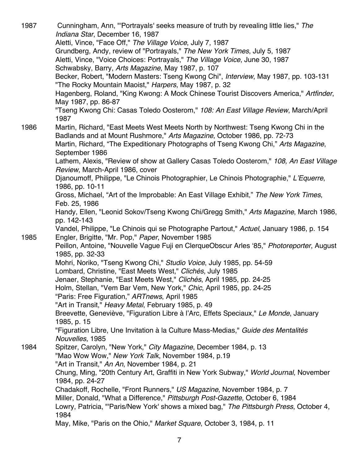1987 Cunningham, Ann, "'Portrayals' seeks measure of truth by revealing little lies," *The Indiana Star*, December 16, 1987 Aletti, Vince, "Face Off," *The Village Voice*, July 7, 1987 Grundberg, Andy, review of "Portrayals," *The New York Times*, July 5, 1987 Aletti, Vince, "Voice Choices: Portrayals," *The Village Voice*, June 30, 1987 Schwabsky, Barry, *Arts Magazine*, May 1987, p. 107 Becker, Robert, "Modern Masters: Tseng Kwong Chi", *Interview*, May 1987, pp. 103-131 "The Rocky Mountain Maoist," *Harpers*, May 1987, p. 32 Hagenberg, Roland, "King Kwong: A Mock Chinese Tourist Discovers America," *Artfinder*, May 1987, pp. 86-87 "Tseng Kwong Chi: Casas Toledo Oosterom," *108: An East Village Review*, March/April 1987 1986 Martin, Richard, "East Meets West Meets North by Northwest: Tseng Kwong Chi in the Badlands and at Mount Rushmore," *Arts Magazine*, October 1986, pp. 72-73 Martin, Richard, "The Expeditionary Photographs of Tseng Kwong Chi," *Arts Magazine*, September 1986 Lathem, Alexis, "Review of show at Gallery Casas Toledo Oosterom," *108, An East Village Review*, March-April 1986, cover Djanoumoff, Philippe, "Le Chinois Photographier, Le Chinois Photographie," *L'Equerre*, 1986, pp. 10-11 Gross, Michael, "Art of the Improbable: An East Village Exhibit," *The New York Times*, Feb. 25, 1986 Handy, Ellen, "Leonid Sokov/Tseng Kwong Chi/Gregg Smith," *Arts Magazine*, March 1986, pp. 142-143 Vandel, Philippe, "Le Chinois qui se Photographe Partout," *Actuel*, January 1986, p. 154 1985 Engler, Brigitte, "Mr. Pop," *Paper*, November 1985 Peillon, Antoine, "Nouvelle Vague Fuji en ClerqueObscur Arles '85," *Photoreporter*, August 1985, pp. 32-33 Mohri, Noriko, "Tseng Kwong Chi," *Studio Voice*, July 1985, pp. 54-59 Lombard, Christine, "East Meets West," *Clichés*, July 1985 Jenaer, Stephanie, "East Meets West," *Clichés*, April 1985, pp. 24-25 Holm, Stellan, "Vem Bar Vem, New York," *Chic*, April 1985, pp. 24-25 "Paris: Free Figuration," *ARTnews*, April 1985 "Art in Transit," *Heavy Metal*, February 1985, p. 49 Breevette, Geneviève, "Figuration Libre à l'Arc, Effets Speciaux," *Le Monde*, January 1985, p. 15 "Figuration Libre, Une Invitation à la Culture Mass-Medias," *Guide des Mentalités Nouvelles*, 1985 1984 Spitzer, Carolyn, "New York," *City Magazine*, December 1984, p. 13 "Mao Wow Wow," *New York Talk*, November 1984, p.19 "Art in Transit," *An An*, November 1984, p. 21 Chung, Ming, "20th Century Art, Graffiti in New York Subway," *World Journal*, November 1984, pp. 24-27 Chadakoff, Rochelle, "Front Runners," *US Magazine*, November 1984, p. 7 Miller, Donald, "What a Difference," *Pittsburgh Post-Gazette*, October 6, 1984 Lowry, Patricia, "'Paris/New York' shows a mixed bag," *The Pittsburgh Press*, October 4, 1984 May, Mike, "Paris on the Ohio," *Market Square*, October 3, 1984, p. 11